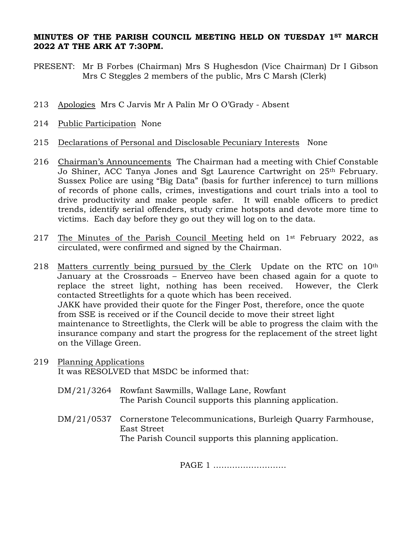## **MINUTES OF THE PARISH COUNCIL MEETING HELD ON TUESDAY 1ST MARCH 2022 AT THE ARK AT 7:30PM.**

- PRESENT: Mr B Forbes (Chairman) Mrs S Hughesdon (Vice Chairman) Dr I Gibson Mrs C Steggles 2 members of the public, Mrs C Marsh (Clerk)
- 213 Apologies Mrs C Jarvis Mr A Palin Mr O O'Grady Absent
- 214 Public Participation None
- 215 Declarations of Personal and Disclosable Pecuniary Interests None
- 216 Chairman's Announcements The Chairman had a meeting with Chief Constable Jo Shiner, ACC Tanya Jones and Sgt Laurence Cartwright on 25th February. Sussex Police are using "Big Data" (basis for further inference) to turn millions of records of phone calls, crimes, investigations and court trials into a tool to drive productivity and make people safer. It will enable officers to predict trends, identify serial offenders, study crime hotspots and devote more time to victims. Each day before they go out they will log on to the data.
- 217 The Minutes of the Parish Council Meeting held on  $1<sup>st</sup>$  February 2022, as circulated, were confirmed and signed by the Chairman.
- 218 Matters currently being pursued by the Clerk Update on the RTC on 10<sup>th</sup> January at the Crossroads – Enerveo have been chased again for a quote to replace the street light, nothing has been received. However, the Clerk contacted Streetlights for a quote which has been received. JAKK have provided their quote for the Finger Post, therefore, once the quote from SSE is received or if the Council decide to move their street light maintenance to Streetlights, the Clerk will be able to progress the claim with the insurance company and start the progress for the replacement of the street light on the Village Green.
- 219 Planning Applications It was RESOLVED that MSDC be informed that:
	- DM/21/3264 Rowfant Sawmills, Wallage Lane, Rowfant The Parish Council supports this planning application.
	- DM/21/0537 Cornerstone Telecommunications, Burleigh Quarry Farmhouse, East Street The Parish Council supports this planning application.

PAGE 1 ………………………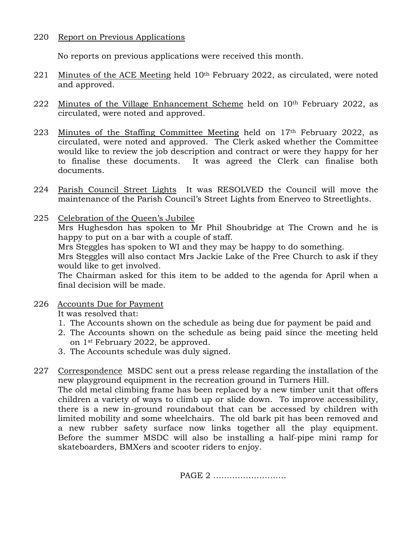## 220 Report on Previous Applications

No reports on previous applications were received this month.

- 221 Minutes of the ACE Meeting held 10th February 2022, as circulated, were noted and approved.
- 222 Minutes of the Village Enhancement Scheme held on 10<sup>th</sup> February 2022, as circulated, were noted and approved.
- 223 Minutes of the Staffing Committee Meeting held on 17th February 2022, as circulated, were noted and approved. The Clerk asked whether the Committee would like to review the job description and contract or were they happy for her to finalise these documents. It was agreed the Clerk can finalise both documents.
- 224 Parish Council Street Lights It was RESOLVED the Council will move the maintenance of the Parish Council's Street Lights from Enerveo to Streetlights.
- 225 Celebration of the Queen's Jubilee Mrs Hughesdon has spoken to Mr Phil Shoubridge at The Crown and he is happy to put on a bar with a couple of staff. Mrs Steggles has spoken to WI and they may be happy to do something. Mrs Steggles will also contact Mrs Jackie Lake of the Free Church to ask if they would like to get involved. The Chairman asked for this item to be added to the agenda for April when a final decision will be made.
- 226 Accounts Due for Payment

It was resolved that:

- 1. The Accounts shown on the schedule as being due for payment be paid and
- 2. The Accounts shown on the schedule as being paid since the meeting held on 1st February 2022, be approved.
- 3. The Accounts schedule was duly signed.
- 227 Correspondence MSDC sent out a press release regarding the installation of the new playground equipment in the recreation ground in Turners Hill. The old metal climbing frame has been replaced by a new timber unit that offers children a variety of ways to climb up or slide down. To improve accessibility, there is a new in-ground roundabout that can be accessed by children with limited mobility and some wheelchairs. The old bark pit has been removed and a new rubber safety surface now links together all the play equipment. Before the summer MSDC will also be installing a half-pipe mini ramp for skateboarders, BMXers and scooter riders to enjoy.

PAGE 2 ………………………